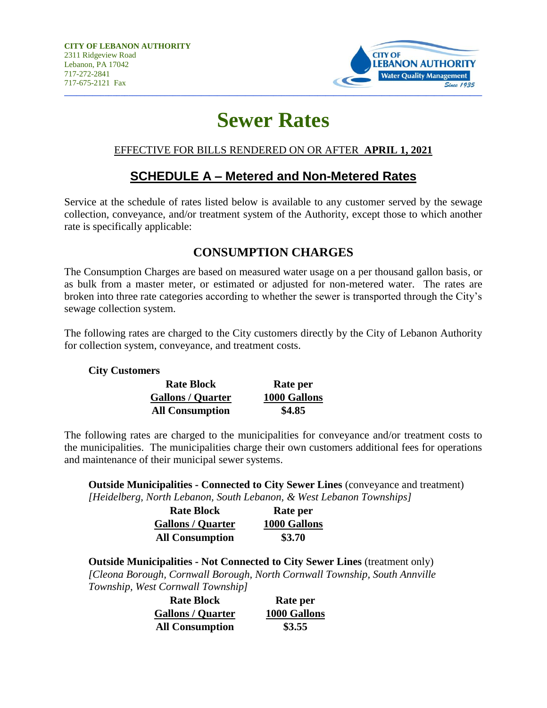

# **Sewer Rates**

#### EFFECTIVE FOR BILLS RENDERED ON OR AFTER **APRIL 1, 2021**

## **SCHEDULE A – Metered and Non-Metered Rates**

Service at the schedule of rates listed below is available to any customer served by the sewage collection, conveyance, and/or treatment system of the Authority, except those to which another rate is specifically applicable:

### **CONSUMPTION CHARGES**

The Consumption Charges are based on measured water usage on a per thousand gallon basis, or as bulk from a master meter, or estimated or adjusted for non-metered water. The rates are broken into three rate categories according to whether the sewer is transported through the City's sewage collection system.

The following rates are charged to the City customers directly by the City of Lebanon Authority for collection system, conveyance, and treatment costs.

#### **City Customers**

| <b>Rate Block</b>        | Rate per     |
|--------------------------|--------------|
| <b>Gallons / Quarter</b> | 1000 Gallons |
| <b>All Consumption</b>   | \$4.85       |

The following rates are charged to the municipalities for conveyance and/or treatment costs to the municipalities. The municipalities charge their own customers additional fees for operations and maintenance of their municipal sewer systems.

**Outside Municipalities - Connected to City Sewer Lines** (conveyance and treatment) *[Heidelberg, North Lebanon, South Lebanon, & West Lebanon Townships]*

| <b>Rate Block</b>        | Rate per     |
|--------------------------|--------------|
| <b>Gallons / Quarter</b> | 1000 Gallons |
| <b>All Consumption</b>   | \$3.70       |

**Outside Municipalities - Not Connected to City Sewer Lines** (treatment only) *[Cleona Borough, Cornwall Borough, North Cornwall Township, South Annville Township, West Cornwall Township]*

| <b>Rate Block</b>        | Rate per     |
|--------------------------|--------------|
| <b>Gallons / Quarter</b> | 1000 Gallons |
| <b>All Consumption</b>   | \$3.55       |